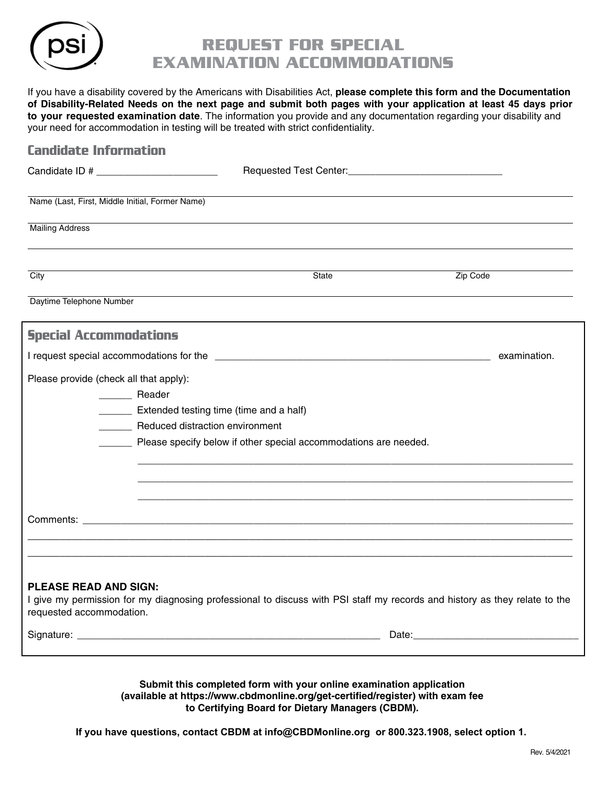

## Request for Special Examination Accommodations

If you have a disability covered by the Americans with Disabilities Act, **please complete this form and the Documentation of Disability-Related Needs on the next page and submit both pages with your application at least 45 days prior to your requested examination date**. The information you provide and any documentation regarding your disability and your need for accommodation in testing will be treated with strict confidentiality.

| <b>Candidate Information</b>                                                                      |                                                                                                                            |              |
|---------------------------------------------------------------------------------------------------|----------------------------------------------------------------------------------------------------------------------------|--------------|
|                                                                                                   |                                                                                                                            |              |
| Name (Last, First, Middle Initial, Former Name)                                                   |                                                                                                                            |              |
| <b>Mailing Address</b>                                                                            |                                                                                                                            |              |
| City                                                                                              | <b>State</b>                                                                                                               | Zip Code     |
| Daytime Telephone Number                                                                          |                                                                                                                            |              |
| <b>Special Accommodations</b>                                                                     |                                                                                                                            |              |
|                                                                                                   |                                                                                                                            | examination. |
| Please provide (check all that apply):<br>______ Reader<br><b>Reduced distraction environment</b> | Extended testing time (time and a half)<br>Please specify below if other special accommodations are needed.                |              |
|                                                                                                   |                                                                                                                            |              |
| <b>PLEASE READ AND SIGN:</b><br>requested accommodation.                                          | I give my permission for my diagnosing professional to discuss with PSI staff my records and history as they relate to the |              |
|                                                                                                   |                                                                                                                            |              |
|                                                                                                   |                                                                                                                            |              |

**Submit this completed form with your online examination application [\(available at https://www.cbdmonline.org/get-ce](www.cbdmonline.org/get-certified/register)rtified/register) with exam fee to Certifying Board for Dietary Managers (CBDM).**

**If you have questions, contact CBDM at info@CBDMonline.org or 800.323.1908, select option 1.**